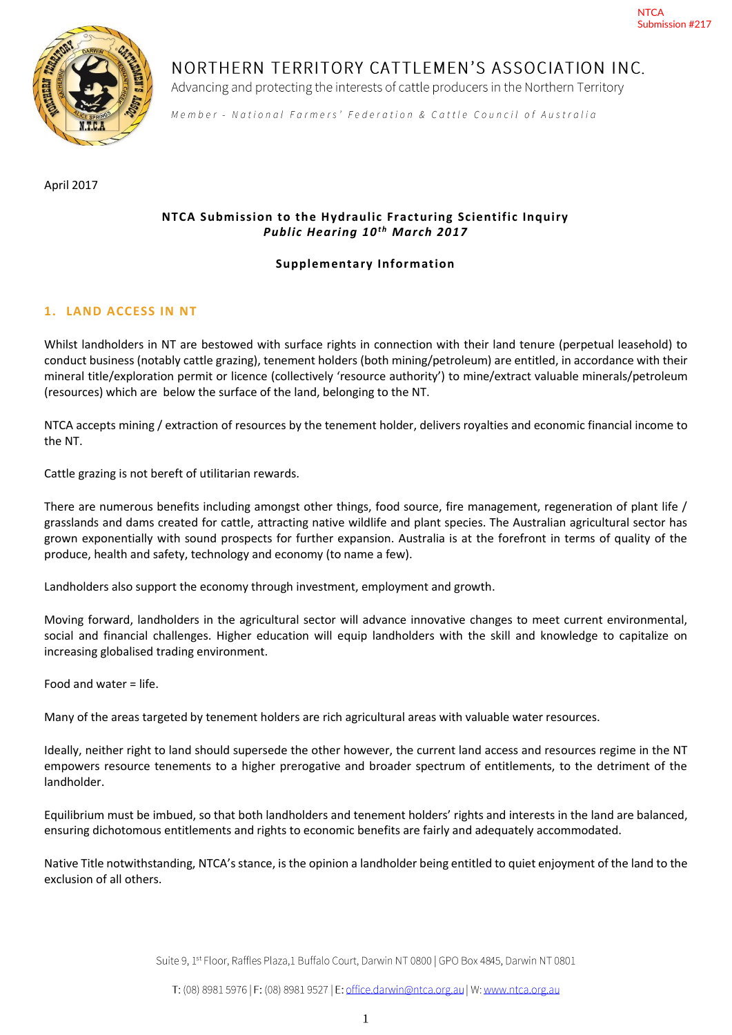

# NORTHERN TERRITORY CATTLEMEN'S ASSOCIATION INC.

Advancing and protecting the interests of cattle producers in the Northern Territory

Member - National Farmers' Federation & Cattle Council of Australia

April 2017

# **NTCA Submission to the Hydraulic Fracturing Scientific Inquiry Public Hearing 10<sup>th</sup> March 2017**

## **Supplementary Information**

# **1. LAND ACCESS IN NT**

Whilst landholders in NT are bestowed with surface rights in connection with their land tenure (perpetual leasehold) to conduct business (notably cattle grazing), tenement holders (both mining/petroleum) are entitled, in accordance with their mineral title/exploration permit or licence (collectively 'resource authority') to mine/extract valuable minerals/petroleum (resources) which are below the surface of the land, belonging to the NT.

NTCA accepts mining / extraction of resources by the tenement holder, delivers royalties and economic financial income to the NT.

Cattle grazing is not bereft of utilitarian rewards.

There are numerous benefits including amongst other things, food source, fire management, regeneration of plant life / grasslands and dams created for cattle, attracting native wildlife and plant species. The Australian agricultural sector has grown exponentially with sound prospects for further expansion. Australia is at the forefront in terms of quality of the produce, health and safety, technology and economy (to name a few).

Landholders also support the economy through investment, employment and growth.

Moving forward, landholders in the agricultural sector will advance innovative changes to meet current environmental, social and financial challenges. Higher education will equip landholders with the skill and knowledge to capitalize on increasing globalised trading environment.

Food and water = life.

Many of the areas targeted by tenement holders are rich agricultural areas with valuable water resources.

Ideally, neither right to land should supersede the other however, the current land access and resources regime in the NT empowers resource tenements to a higher prerogative and broader spectrum of entitlements, to the detriment of the landholder.

Equilibrium must be imbued, so that both landholders and tenement holders' rights and interests in the land are balanced, ensuring dichotomous entitlements and rights to economic benefits are fairly and adequately accommodated.

Native Title notwithstanding, NTCA's stance, is the opinion a landholder being entitled to quiet enjoyment of the land to the exclusion of all others.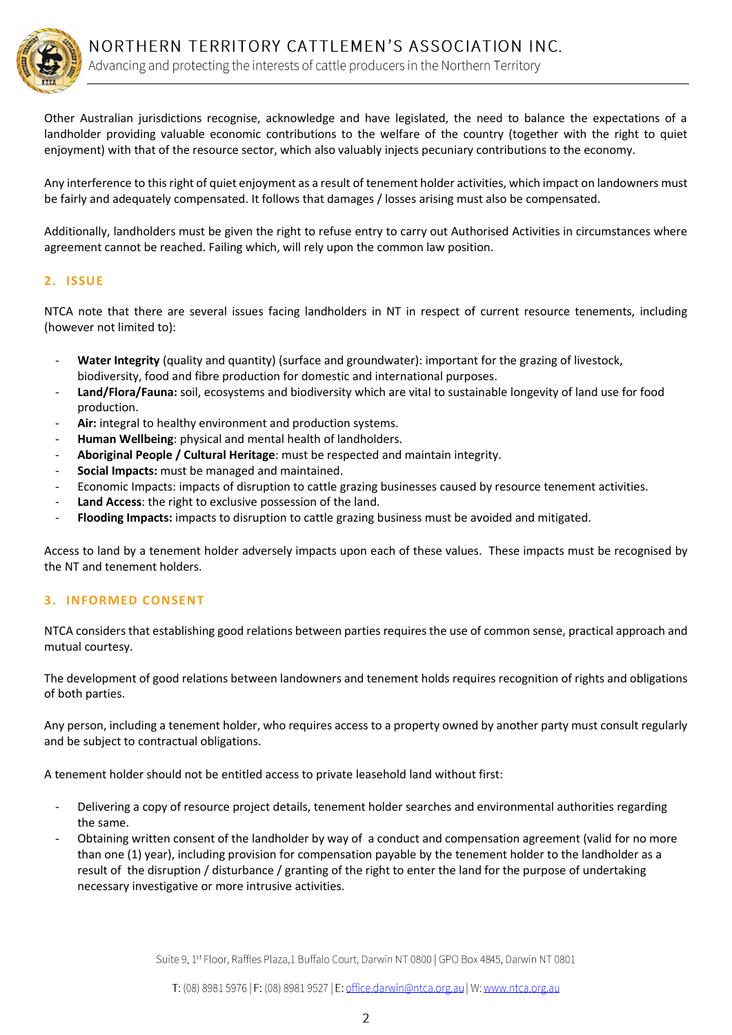

Other Australian jurisdictions recognise, acknowledge and have legislated, the need to balance the expectations of a landholder providing valuable economic contributions to the welfare of the country (together with the right to quiet enjoyment) with that of the resource sector, which also valuably injects pecuniary contributions to the economy.

Any interference to this right of quiet enjoyment as a result of tenement holder activities, which impact on landowners must be fairly and adequately compensated. It follows that damages / losses arising must also be compensated.

Additionally, landholders must be given the right to refuse entry to carry out Authorised Activities in circumstances where agreement cannot be reached. Failing which, will rely upon the common law position.

## **2. ISSUE**

NTCA note that there are several issues facing landholders in NT in respect of current resource tenements, including (however not limited to):

- **Water Integrity** (quality and quantity) (surface and groundwater): important for the grazing of livestock, biodiversity, food and fibre production for domestic and international purposes.
- Land/Flora/Fauna: soil, ecosystems and biodiversity which are vital to sustainable longevity of land use for food production.
- Air: integral to healthy environment and production systems.
- Human Wellbeing: physical and mental health of landholders.
- **Aboriginal People / Cultural Heritage**: must be respected and maintain integrity.
- **Social Impacts:** must be managed and maintained.
- Economic Impacts: impacts of disruption to cattle grazing businesses caused by resource tenement activities.
- Land Access: the right to exclusive possession of the land.
- **Flooding Impacts:** impacts to disruption to cattle grazing business must be avoided and mitigated.

Access to land by a tenement holder adversely impacts upon each of these values. These impacts must be recognised by the NT and tenement holders.

## **3. INFORMED CONSENT**

NTCA considers that establishing good relations between parties requires the use of common sense, practical approach and mutual courtesy.

The development of good relations between landowners and tenement holds requires recognition of rights and obligations of both parties.

Any person, including a tenement holder, who requires access to a property owned by another party must consult regularly and be subject to contractual obligations.

A tenement holder should not be entitled access to private leasehold land without first:

- Delivering a copy of resource project details, tenement holder searches and environmental authorities regarding the same.
- Obtaining written consent of the landholder by way of a conduct and compensation agreement (valid for no more than one (1) year), including provision for compensation payable by the tenement holder to the landholder as a result of the disruption / disturbance / granting of the right to enter the land for the purpose of undertaking necessary investigative or more intrusive activities.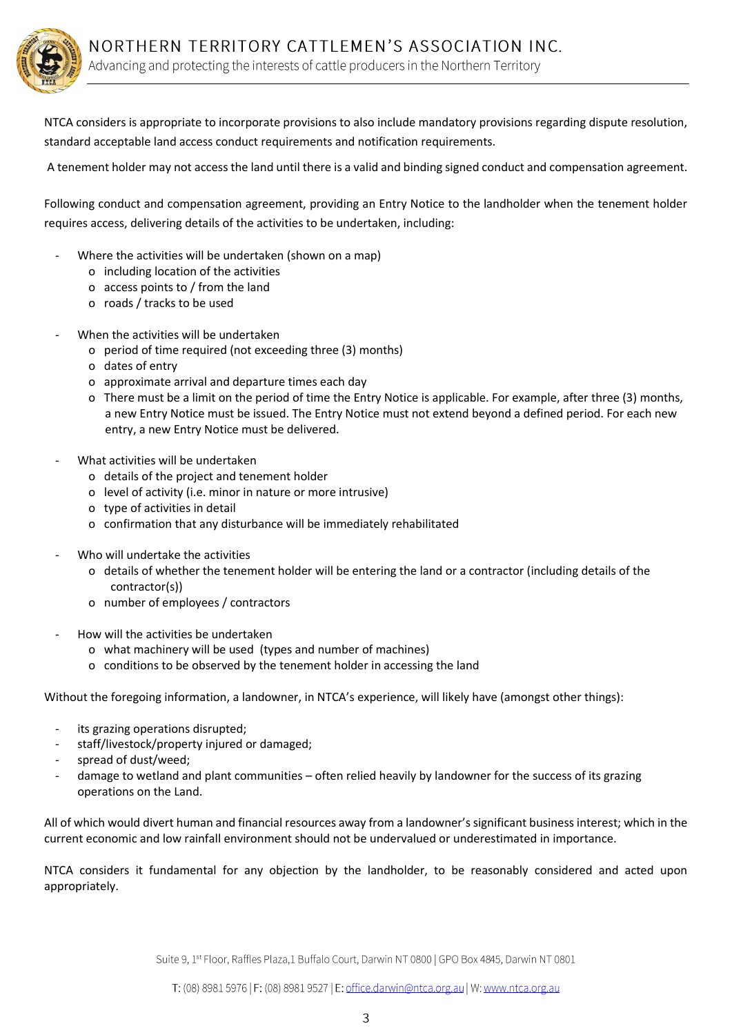

NTCA considers is appropriate to incorporate provisions to also include mandatory provisions regarding dispute resolution, standard acceptable land access conduct requirements and notification requirements.

A tenement holder may not access the land until there is a valid and binding signed conduct and compensation agreement.

Following conduct and compensation agreement, providing an Entry Notice to the landholder when the tenement holder requires access, delivering details of the activities to be undertaken, including:

- Where the activities will be undertaken (shown on a map)
	- o including location of the activities
	- o access points to / from the land
	- o roads / tracks to be used
- When the activities will be undertaken
	- o period of time required (not exceeding three (3) months)
	- o dates of entry
	- o approximate arrival and departure times each day
	- o There must be a limit on the period of time the Entry Notice is applicable. For example, after three (3) months, a new Entry Notice must be issued. The Entry Notice must not extend beyond a defined period. For each new entry, a new Entry Notice must be delivered.
- What activities will be undertaken
	- o details of the project and tenement holder
	- o level of activity (i.e. minor in nature or more intrusive)
	- o type of activities in detail
	- o confirmation that any disturbance will be immediately rehabilitated
- Who will undertake the activities
	- o details of whether the tenement holder will be entering the land or a contractor (including details of the contractor(s))
	- o number of employees / contractors
- How will the activities be undertaken
	- o what machinery will be used (types and number of machines)
	- o conditions to be observed by the tenement holder in accessing the land

Without the foregoing information, a landowner, in NTCA's experience, will likely have (amongst other things):

- its grazing operations disrupted;
- staff/livestock/property injured or damaged;
- spread of dust/weed;
- damage to wetland and plant communities often relied heavily by landowner for the success of its grazing operations on the Land.

All of which would divert human and financial resources away from a landowner's significant business interest; which in the current economic and low rainfall environment should not be undervalued or underestimated in importance.

NTCA considers it fundamental for any objection by the landholder, to be reasonably considered and acted upon appropriately.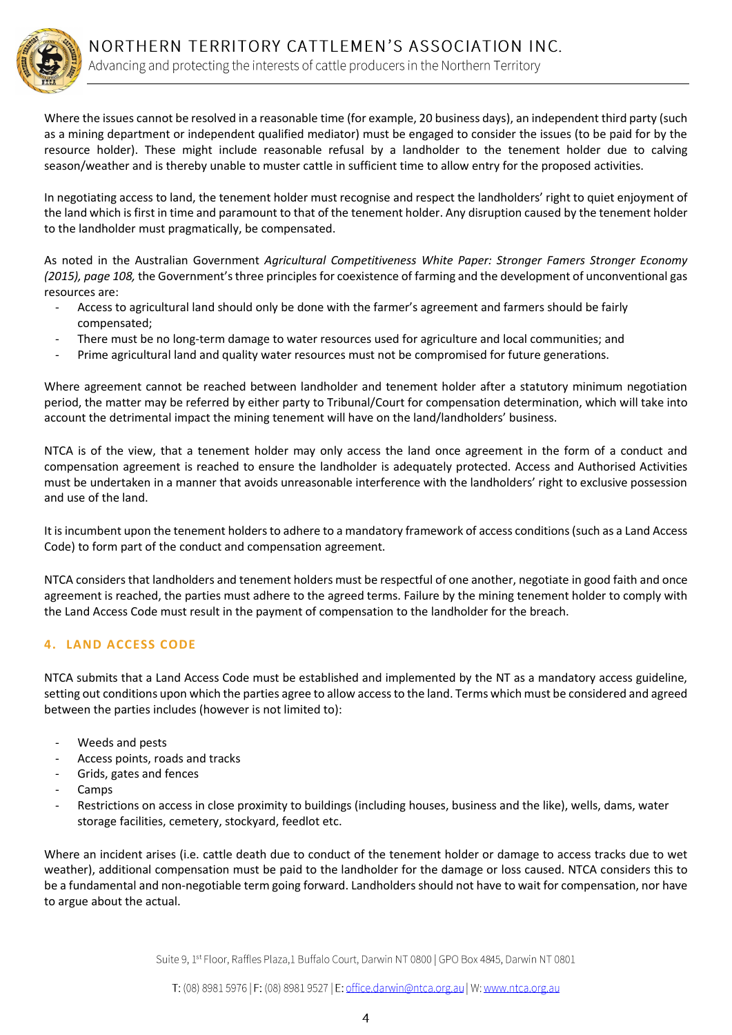Where the issues cannot be resolved in a reasonable time (for example, 20 business days), an independent third party (such as a mining department or independent qualified mediator) must be engaged to consider the issues (to be paid for by the resource holder). These might include reasonable refusal by a landholder to the tenement holder due to calving season/weather and is thereby unable to muster cattle in sufficient time to allow entry for the proposed activities.

In negotiating access to land, the tenement holder must recognise and respect the landholders' right to quiet enjoyment of the land which is first in time and paramount to that of the tenement holder. Any disruption caused by the tenement holder to the landholder must pragmatically, be compensated.

As noted in the Australian Government *Agricultural Competitiveness White Paper: Stronger Famers Stronger Economy (2015), page 108,* the Government's three principles for coexistence of farming and the development of unconventional gas resources are:

- Access to agricultural land should only be done with the farmer's agreement and farmers should be fairly compensated;
- There must be no long-term damage to water resources used for agriculture and local communities; and
- Prime agricultural land and quality water resources must not be compromised for future generations.

Where agreement cannot be reached between landholder and tenement holder after a statutory minimum negotiation period, the matter may be referred by either party to Tribunal/Court for compensation determination, which will take into account the detrimental impact the mining tenement will have on the land/landholders' business.

NTCA is of the view, that a tenement holder may only access the land once agreement in the form of a conduct and compensation agreement is reached to ensure the landholder is adequately protected. Access and Authorised Activities must be undertaken in a manner that avoids unreasonable interference with the landholders' right to exclusive possession and use of the land.

It is incumbent upon the tenement holders to adhere to a mandatory framework of access conditions (such as a Land Access Code) to form part of the conduct and compensation agreement.

NTCA considers that landholders and tenement holders must be respectful of one another, negotiate in good faith and once agreement is reached, the parties must adhere to the agreed terms. Failure by the mining tenement holder to comply with the Land Access Code must result in the payment of compensation to the landholder for the breach.

## **4. LAND ACCESS CODE**

NTCA submits that a Land Access Code must be established and implemented by the NT as a mandatory access guideline, setting out conditions upon which the parties agree to allow access to the land. Terms which must be considered and agreed between the parties includes (however is not limited to):

- Weeds and pests
- Access points, roads and tracks
- Grids, gates and fences
- Camps
- Restrictions on access in close proximity to buildings (including houses, business and the like), wells, dams, water storage facilities, cemetery, stockyard, feedlot etc.

Where an incident arises (i.e. cattle death due to conduct of the tenement holder or damage to access tracks due to wet weather), additional compensation must be paid to the landholder for the damage or loss caused. NTCA considers this to be a fundamental and non-negotiable term going forward. Landholders should not have to wait for compensation, nor have to argue about the actual.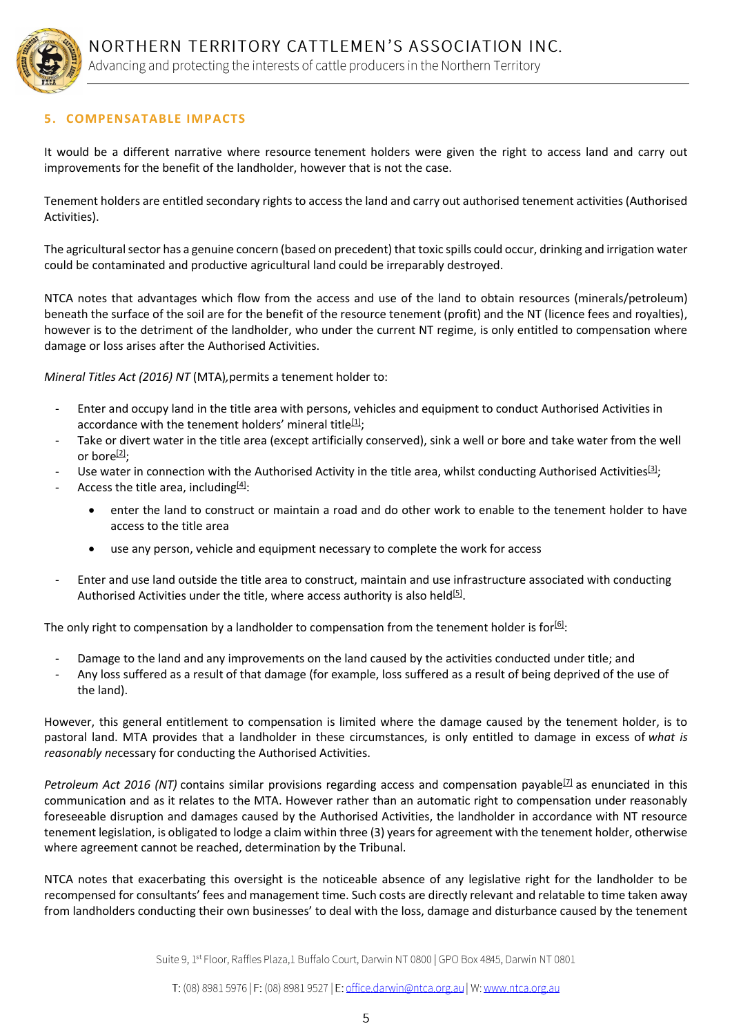

# **5. COMPENSATABLE IMPACTS**

It would be a different narrative where resource tenement holders were given the right to access land and carry out improvements for the benefit of the landholder, however that is not the case.

Tenement holders are entitled secondary rights to access the land and carry out authorised tenement activities (Authorised Activities).

The agricultural sector has a genuine concern (based on precedent) that toxic spills could occur, drinking and irrigation water could be contaminated and productive agricultural land could be irreparably destroyed.

NTCA notes that advantages which flow from the access and use of the land to obtain resources (minerals/petroleum) beneath the surface of the soil are for the benefit of the resource tenement (profit) and the NT (licence fees and royalties), however is to the detriment of the landholder, who under the current NT regime, is only entitled to compensation where damage or loss arises after the Authorised Activities.

*Mineral Titles Act (2016) NT* (MTA)*,*permits a tenement holder to:

- Enter and occupy land in the title area with persons, vehicles and equipment to conduct Authorised Activities in accordance with the tenement holders' mineral title<sup>[\[1\]](file://///accounts/1000/pimdata/_startup_data/messages/1485739027/9/16/msg-7kj1x7%23_ftn1)</sup>;
- Take or divert water in the title area (except artificially conserved), sink a well or bore and take water from the well or bore $[2]$ :
- Use water in connection with the Authorised Activity in the title area, whilst conducting Authorised Activities $[3]$ ;
- Access the title area, including $[4]$ :
	- enter the land to construct or maintain a road and do other work to enable to the tenement holder to have access to the title area
	- use any person, vehicle and equipment necessary to complete the work for access
- Enter and use land outside the title area to construct, maintain and use infrastructure associated with conducting Authorised Activities under the title, where access authority is also held<sup>[\[5\]](file://///accounts/1000/pimdata/_startup_data/messages/1485739027/9/16/msg-7kj1x7%23_ftn5)</sup>.

The only right to compensation by a landholder to compensation from the tenement holder is for $[6]$ :

- Damage to the land and any improvements on the land caused by the activities conducted under title; and
- Any loss suffered as a result of that damage (for example, loss suffered as a result of being deprived of the use of the land).

However, this general entitlement to compensation is limited where the damage caused by the tenement holder, is to pastoral land. MTA provides that a landholder in these circumstances, is only entitled to damage in excess of *what is reasonably ne*cessary for conducting the Authorised Activities.

*Petroleum Act 2016 (NT)* contains similar provisions regarding access and compensation payable<sup>[\[7\]](file://///accounts/1000/pimdata/_startup_data/messages/1485739027/9/16/msg-7kj1x7%23_ftn7)</sup> as enunciated in this communication and as it relates to the MTA. However rather than an automatic right to compensation under reasonably foreseeable disruption and damages caused by the Authorised Activities, the landholder in accordance with NT resource tenement legislation, is obligated to lodge a claim within three (3) years for agreement with the tenement holder, otherwise where agreement cannot be reached, determination by the Tribunal.

NTCA notes that exacerbating this oversight is the noticeable absence of any legislative right for the landholder to be recompensed for consultants' fees and management time. Such costs are directly relevant and relatable to time taken away from landholders conducting their own businesses' to deal with the loss, damage and disturbance caused by the tenement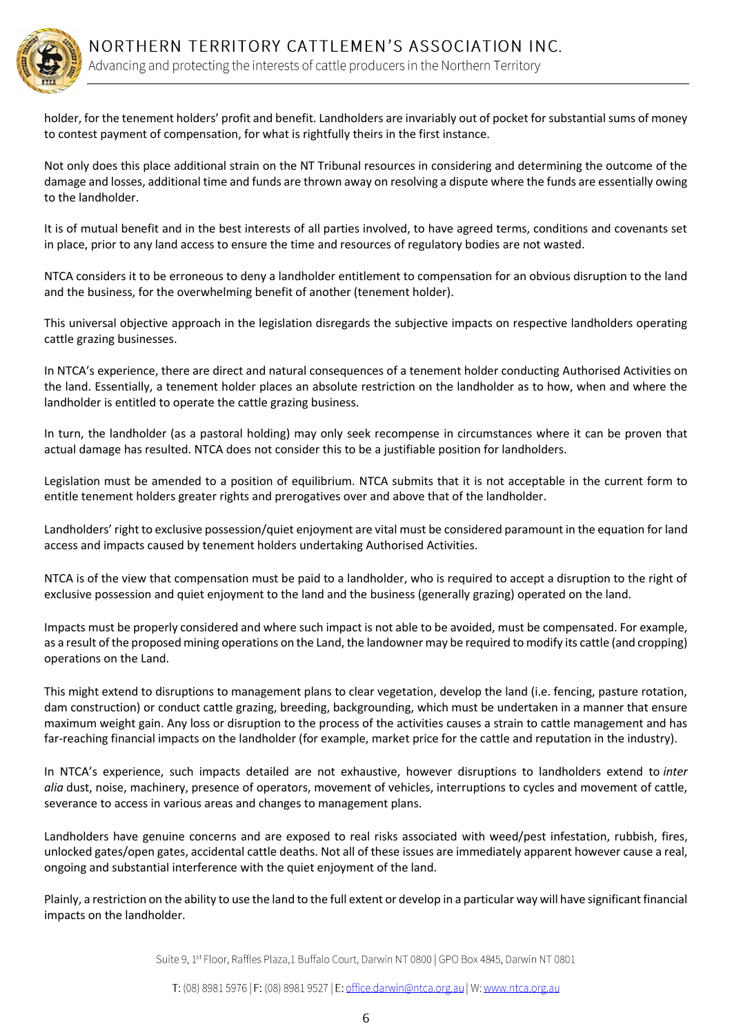

holder, for the tenement holders' profit and benefit. Landholders are invariably out of pocket for substantial sums of money to contest payment of compensation, for what is rightfully theirs in the first instance.

Not only does this place additional strain on the NT Tribunal resources in considering and determining the outcome of the damage and losses, additional time and funds are thrown away on resolving a dispute where the funds are essentially owing to the landholder.

It is of mutual benefit and in the best interests of all parties involved, to have agreed terms, conditions and covenants set in place, prior to any land access to ensure the time and resources of regulatory bodies are not wasted.

NTCA considers it to be erroneous to deny a landholder entitlement to compensation for an obvious disruption to the land and the business, for the overwhelming benefit of another (tenement holder).

This universal objective approach in the legislation disregards the subjective impacts on respective landholders operating cattle grazing businesses.

In NTCA's experience, there are direct and natural consequences of a tenement holder conducting Authorised Activities on the land. Essentially, a tenement holder places an absolute restriction on the landholder as to how, when and where the landholder is entitled to operate the cattle grazing business.

In turn, the landholder (as a pastoral holding) may only seek recompense in circumstances where it can be proven that actual damage has resulted. NTCA does not consider this to be a justifiable position for landholders.

Legislation must be amended to a position of equilibrium. NTCA submits that it is not acceptable in the current form to entitle tenement holders greater rights and prerogatives over and above that of the landholder.

Landholders' right to exclusive possession/quiet enjoyment are vital must be considered paramount in the equation for land access and impacts caused by tenement holders undertaking Authorised Activities.

NTCA is of the view that compensation must be paid to a landholder, who is required to accept a disruption to the right of exclusive possession and quiet enjoyment to the land and the business (generally grazing) operated on the land.

Impacts must be properly considered and where such impact is not able to be avoided, must be compensated. For example, as a result of the proposed mining operations on the Land, the landowner may be required to modify its cattle (and cropping) operations on the Land.

This might extend to disruptions to management plans to clear vegetation, develop the land (i.e. fencing, pasture rotation, dam construction) or conduct cattle grazing, breeding, backgrounding, which must be undertaken in a manner that ensure maximum weight gain. Any loss or disruption to the process of the activities causes a strain to cattle management and has far-reaching financial impacts on the landholder (for example, market price for the cattle and reputation in the industry).

In NTCA's experience, such impacts detailed are not exhaustive, however disruptions to landholders extend to *inter alia* dust, noise, machinery, presence of operators, movement of vehicles, interruptions to cycles and movement of cattle, severance to access in various areas and changes to management plans.

Landholders have genuine concerns and are exposed to real risks associated with weed/pest infestation, rubbish, fires, unlocked gates/open gates, accidental cattle deaths. Not all of these issues are immediately apparent however cause a real, ongoing and substantial interference with the quiet enjoyment of the land.

Plainly, a restriction on the ability to use the land to the full extent or develop in a particular way will have significant financial impacts on the landholder.

Suite 9, 1<sup>st</sup> Floor, Raffles Plaza,1 Buffalo Court, Darwin NT 0800 | GPO Box 4845, Darwin NT 0801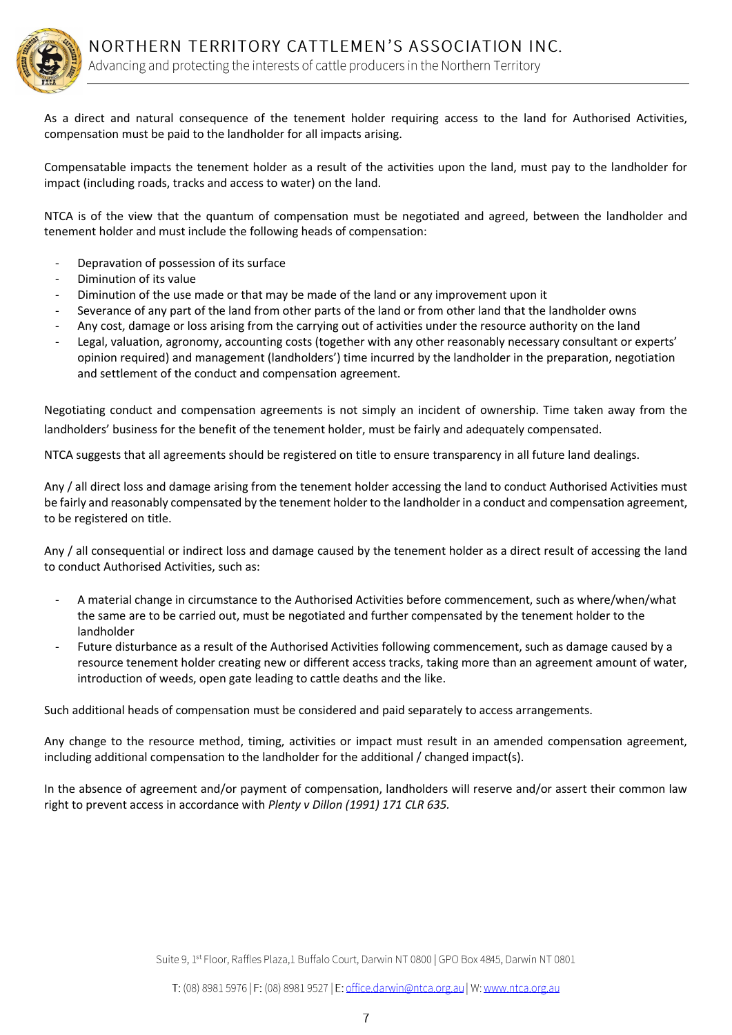

As a direct and natural consequence of the tenement holder requiring access to the land for Authorised Activities, compensation must be paid to the landholder for all impacts arising.

Compensatable impacts the tenement holder as a result of the activities upon the land, must pay to the landholder for impact (including roads, tracks and access to water) on the land.

NTCA is of the view that the quantum of compensation must be negotiated and agreed, between the landholder and tenement holder and must include the following heads of compensation:

- Depravation of possession of its surface
- Diminution of its value
- Diminution of the use made or that may be made of the land or any improvement upon it
- Severance of any part of the land from other parts of the land or from other land that the landholder owns
- Any cost, damage or loss arising from the carrying out of activities under the resource authority on the land
- Legal, valuation, agronomy, accounting costs (together with any other reasonably necessary consultant or experts' opinion required) and management (landholders') time incurred by the landholder in the preparation, negotiation and settlement of the conduct and compensation agreement.

Negotiating conduct and compensation agreements is not simply an incident of ownership. Time taken away from the landholders' business for the benefit of the tenement holder, must be fairly and adequately compensated.

NTCA suggests that all agreements should be registered on title to ensure transparency in all future land dealings.

Any / all direct loss and damage arising from the tenement holder accessing the land to conduct Authorised Activities must be fairly and reasonably compensated by the tenement holder to the landholder in a conduct and compensation agreement, to be registered on title.

Any / all consequential or indirect loss and damage caused by the tenement holder as a direct result of accessing the land to conduct Authorised Activities, such as:

- A material change in circumstance to the Authorised Activities before commencement, such as where/when/what the same are to be carried out, must be negotiated and further compensated by the tenement holder to the landholder
- Future disturbance as a result of the Authorised Activities following commencement, such as damage caused by a resource tenement holder creating new or different access tracks, taking more than an agreement amount of water, introduction of weeds, open gate leading to cattle deaths and the like.

Such additional heads of compensation must be considered and paid separately to access arrangements.

Any change to the resource method, timing, activities or impact must result in an amended compensation agreement, including additional compensation to the landholder for the additional / changed impact(s).

In the absence of agreement and/or payment of compensation, landholders will reserve and/or assert their common law right to prevent access in accordance with *Plenty v Dillon (1991) 171 CLR 635.*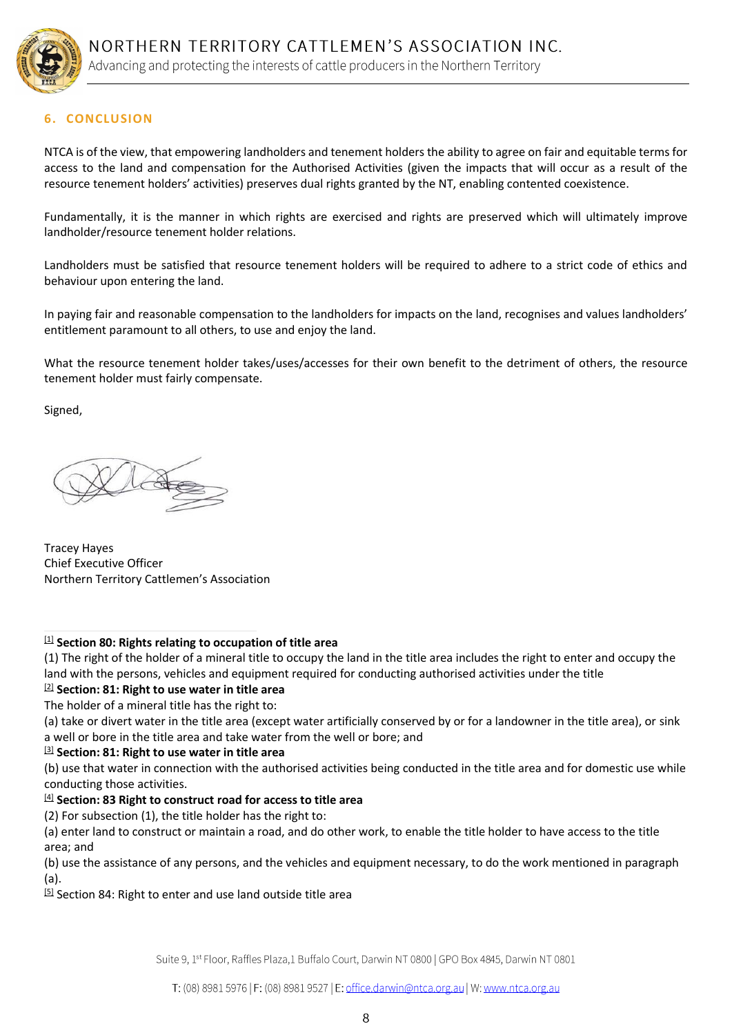

# **6. CONCLUSION**

NTCA is of the view, that empowering landholders and tenement holders the ability to agree on fair and equitable terms for access to the land and compensation for the Authorised Activities (given the impacts that will occur as a result of the resource tenement holders' activities) preserves dual rights granted by the NT, enabling contented coexistence.

Fundamentally, it is the manner in which rights are exercised and rights are preserved which will ultimately improve landholder/resource tenement holder relations.

Landholders must be satisfied that resource tenement holders will be required to adhere to a strict code of ethics and behaviour upon entering the land.

In paying fair and reasonable compensation to the landholders for impacts on the land, recognises and values landholders' entitlement paramount to all others, to use and enjoy the land.

What the resource tenement holder takes/uses/accesses for their own benefit to the detriment of others, the resource tenement holder must fairly compensate.

Signed,

Tracey Hayes Chief Executive Officer Northern Territory Cattlemen's Association

#### [1] **Section 80: Rights relating to occupation of title area**

(1) The right of the holder of a mineral title to occupy the land in the title area includes the right to enter and occupy the land with the persons, vehicles and equipment required for conducting authorised activities under the title

[2] **Section: 81: Right to use water in title area** The holder of a mineral title has the right to:

(a) take or divert water in the title area (except water artificially conserved by or for a landowner in the title area), or sink a well or bore in the title area and take water from the well or bore; and

#### [3] **Section: 81: Right to use water in title area**

(b) use that water in connection with the authorised activities being conducted in the title area and for domestic use while conducting those activities.

#### [4] **Section: 83 Right to construct road for access to title area**

(2) For subsection (1), the title holder has the right to:

(a) enter land to construct or maintain a road, and do other work, to enable the title holder to have access to the title area; and

(b) use the assistance of any persons, and the vehicles and equipment necessary, to do the work mentioned in paragraph (a).

[5] Section 84: Right to enter and use land outside title area